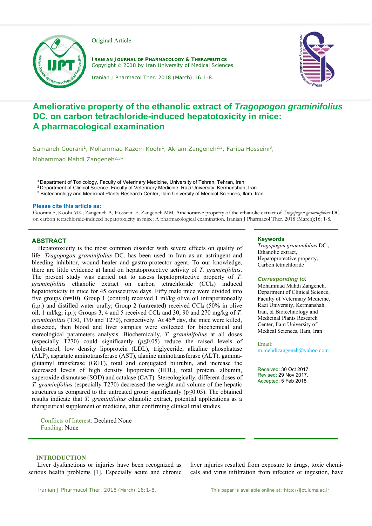

Original Article

**IRANIAN JOURNAL OF PHARMACOLOGY & THERAPEUTICS** Copyright © 2018 by Iran University of Medical Sciences



Iranian J Pharmacol Ther. 2018 (March);16:1-8.

# **Ameliorative property of the ethanolic extract of** *Tragopogon graminifolius* **DC. on carbon tetrachloride-induced hepatotoxicity in mice: A pharmacological examination**

Samaneh Goorani<sup>1</sup>, Mohammad Kazem Koohi<sup>1</sup>, Akram Zangeneh<sup>2,3</sup>, Fariba Hosseini<sup>3</sup>,

Mohammad Mahdi Zangeneh<sup>2,3\*</sup>

<sup>1</sup> Department of Toxicology, Faculty of Veterinary Medicine, University of Tehran, Tehran, Iran <sup>2</sup> Department of Clinical Science, Faculty of Veterinary Medicine, Razi University, Kermanshah, Iran

<sup>3</sup> Biotechnology and Medicinal Plants Research Center, Ilam University of Medical Sciences, Ilam, Iran

#### **Please cite this article as:**

Goorani S, Koohi MK, Zangeneh A, Hosseini F, Zangeneh MM. Ameliorative property of the ethanolic extract of *Tragopogon graminifolius* DC. on carbon tetrachloride-induced hepatotoxicity in mice: A pharmacological examination. Iranian J Pharmacol Ther. 2018 (March);16: 1-8.

# **ABSTRACT**

 Hepatotoxicity is the most common disorder with severe effects on quality of life. *Tragopogon graminifolius* DC. has been used in Iran as an astringent and bleeding inhibitor, wound healer and gastro-protector agent. To our knowledge, there are little evidence at hand on hepatoprotective activity of *T. graminifolius*. The present study was carried out to assess hepatoprotective property of *T. graminifolius* ethanolic extract on carbon tetrachloride (CCl4) induced hepatotoxicity in mice for 45 consecutive days. Fifty male mice were divided into five groups (n=10). Group 1 (control) received 1 ml/kg olive oil intraperitoneally  $(i.p.)$  and distilled water orally; Group 2 (untreated) received CCl<sub>4</sub> (50% in olive oil, 1 ml/kg; i.p.); Groups 3, 4 and 5 received CCl4 and 30, 90 and 270 mg/kg of *T.*  graminifolius (T30, T90 and T270), respectively. At 45<sup>th</sup> day, the mice were killed, dissected, then blood and liver samples were collected for biochemical and stereological parameters analysis. Biochemically, *T. graminifolius* at all doses (especially T270) could significantly (*p≤*0.05) reduce the raised levels of cholesterol, low density lipoprotein (LDL), triglyceride, alkaline phosphatase (ALP), aspartate aminotransferase (AST), alanine aminotransferase (ALT), gammaglutamyl transferase (GGT), total and conjugated bilirubin, and increase the decreased levels of high density lipoprotein (HDL), total protein, albumin, superoxide dismutase (SOD) and catalase (CAT). Stereologically, different doses of *T. graminifolius* (especially T270) decreased the weight and volume of the hepatic structures as compared to the untreated group significantly ( $p \le 0.05$ ). The obtained results indicate that *T. graminifolius* ethanolic extract, potential applications as a therapeutical supplement or medicine, after confirming clinical trial studies.

Conflicts of Interest: Declared None Funding: None

## **Keywords**

*Tragopogon graminifolius* DC., Ethanolic extract, Hepatoprotective property, Carbon tetrachloride

## *Corresponding to*:

Mohammad Mahdi Zangeneh, Department of Clinical Science, Faculty of Veterinary Medicine, Razi University, Kermanshah, Iran, & Biotechnology and Medicinal Plants Research Center, Ilam University of Medical Sciences, Ilam, Iran

#### Email:

m.mehdizangeneh@yahoo.com

Received: 30 Oct 2017 Revised: 29 Nov 2017, Accepted: 5 Feb 2018

## **INTRODUCTION**

Liver dysfunctions or injuries have been recognized as serious health problems [1]. Especially acute and chronic

liver injuries resulted from exposure to drugs, toxic chemicals and virus infiltration from infection or ingestion, have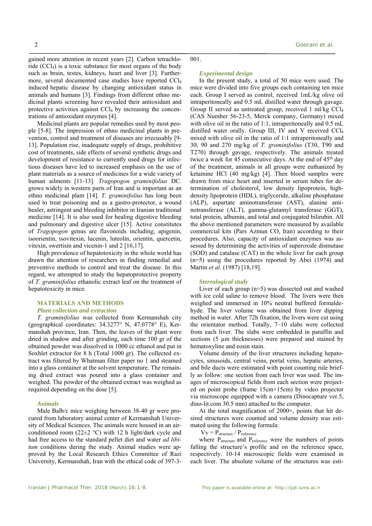gained more attention in recent years [2]. Carbon tetrachloride  $(CCl<sub>4</sub>)$  is a toxic substance for most organs of the body such as brain, testes, kidneys, heart and liver [3]. Furthermore, several documented case studies have reported CCl4 induced hepatic disease by changing antioxidant status in animals and humans [3]. Findings from different ethno medicinal plants screening have revealed their antioxidant and protective activities against CCl4 by increasing the concentrations of antioxidant enzymes [4].

Medicinal plants are popular remedies used by most people [5-8]. The impression of ethno medicinal plants in prevention, control and treatment of diseases are irrecusably [9- 13]. Population rise, inadequate supply of drugs, prohibitive cost of treatments, side effects of several synthetic drugs and development of resistance to currently used drugs for infectious diseases have led to increased emphasis on the use of plant materials as a source of medicines for a wide variety of human ailments [11-13]. *Tragopogon graminifolius* DC. grows widely in western parts of Iran and is important as an ethno medicinal plant [14]. *T. graminifolius* has long been used to treat poisoning and as a gastro-protector, a wound healer, astringent and bleeding inhibitor in Iranian traditional medicine [14]. It is also used for healing digestive bleeding and pulmonary and digestive ulcer [15]. Active constitutes of *Tragopogon* genus are flavonoids including; apigenin, isoorientin, isovitexin, lucenin, luteolin, orientin, quercetin, vitexin, swertisin and vicenin-1 and 2 [16,17].

High prevalence of hepatotoxicity in the whole world has drawn the attention of researchers in finding remedial and preventive methods to control and treat the disease. In this regard, we attempted to study the hepatoprotective property of *T. graminifolius* ethanolic extract leaf on the treatment of hepatotoxicity in mice.

# **MATERIALS AND METHODS** *Plant collection and extraction*

*T. graminifolius* was collected from Kermanshah city (geographical coordinates: 34.3277° N, 47.0778° E), Kermanshah province, Iran. Then, the leaves of the plant were dried in shadow and after grinding, each time 100 gr of the obtained powder was dissolved in 1000 cc ethanol and put in Soxhlet extractor for 8 h (Total 1000 gr). The collected extract was filtered by Whatman filter paper no 1 and steamed into a glass container at the solvent temperature. The remaining dried extract was poured into a glass container and weighed. The powder of the obtained extract was weighed as required depending on the dose [5].

## *Animals*

Male Balb/c mice weighing between 38-40 gr were procured from laboratory animal center of Kermanshah University of Medical Sciences. The animals were housed in an airconditioned room (22 $\pm$ 2 °C) with 12 h light/dark cycle and had free access to the standard pellet diet and water *ad libitum* conditions during the study. Animal studies were approved by the Local Research Ethics Committee of Razi University, Kermanshah, Iran with the ethical code of 397-3001.

#### *Experimental design*

In the present study, a total of 50 mice were used. The mice were divided into five groups each containing ten mice each. Group I served as control, received 1mL/kg olive oil intraperitoneally and 0.5 mL distilled water through gavage. Group II served as untreated group, received 1 ml/kg CCl4 (CAS Number 56-23-5, Merck company, Germany) mixed with olive oil in the ratio of 1:1, intraperitoneally and 0.5 mL distilled water orally. Group III, IV and V received CCl4 mixed with olive oil in the ratio of 1:1 intraperitoneally and 30, 90 and 270 mg/kg of *T. graminifolius* (T30, T90 and T270) through gavage, respectively. The animals treated twice a week for 45 consecutive days. At the end of  $45<sup>th</sup>$  day of the treatment, animals in all groups were euthanized by ketamine HCl (40 mg/kg) [4]. Then blood samples were drawn from mice heart and inserted in serum tubes for determination of cholesterol, low density lipoprotein, highdensity lipoprotein (HDL), triglyceride, alkaline phosphatase (ALP), aspartate aminotransferase (AST), alanine aminotransferase (ALT), gamma-glutamyl transferase (GGT), total protein, albumin, and total and conjugated bilirubin. All the above mentioned parameters were measured by available commercial kits (Pars Azmun CO, Iran) according to their procedures. Also, capacity of antioxidant enzymes was assessed by determining the activities of superoxide dismutase (SOD) and catalase (CAT) in the whole liver for each group (n=5) using the procedures reported by Abei (1974) and Martin *et al.* (1987) [18,19].

#### *Stereological study*

Liver of each group (n=5) was dissected out and washed with ice cold saline to remove blood. The livers were then weighed and immersed in 10% neutral buffered formaldehyde. The liver volume was obtained from liver dipping method in water. After 72h fixation, the livers were cut using the orientator method. Totally, 7–10 slabs were collected from each liver. The slabs were embedded in paraffin and sections (5 µm thicknesses) were prepared and stained by hematoxyline and eosin stain.

Volume density of the liver structures including hepatocytes, sinusoids, central veins, portal veins, hepatic arteries, and bile ducts were estimated with point counting rule briefly as follow: one section from each liver was used. The images of microscopical fields from each section were projected on point probe (frame 15cm×15cm) by video projector via microscope equipped with a camera (Dinocapture ver.5, dino-lit.com 30.5 mm) attached to the computer.

At the total magnification of 2000×, points that hit desired structures were counted and volume density was estimated using the following formula:

 $Vv = P<sub>structure</sub> / P<sub>reference</sub>$ 

where P<sub>structure</sub> and P<sub>reference</sub> were the numbers of points falling the structure's profile and on the reference space, respectively. 10-14 microscopic fields were examined in each liver. The absolute volume of the structures was esti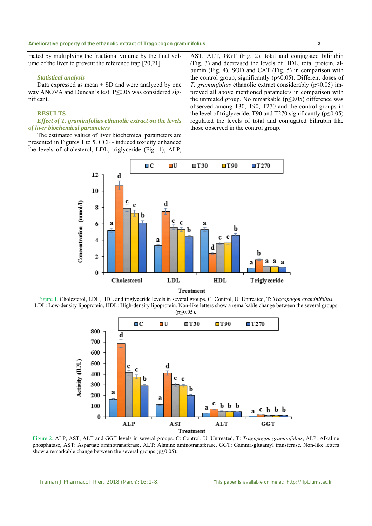mated by multiplying the fractional volume by the final volume of the liver to prevent the reference trap [20,21].

#### *Statistical analysis*

Data expressed as mean  $\pm$  SD and were analyzed by one way ANOVA and Duncan's test. P*≤*0.05 was considered significant.

# **RESULTS**

## *Effect of T. graminifolius ethanolic extract on the levels of liver biochemical parameters*

The estimated values of liver biochemical parameters are presented in Figures 1 to 5. CCl4 - induced toxicity enhanced the levels of cholesterol, LDL, triglyceride (Fig. 1), ALP, AST, ALT, GGT (Fig. 2), total and conjugated bilirubin (Fig. 3) and decreased the levels of HDL, total protein, albumin (Fig. 4), SOD and CAT (Fig. 5) in comparison with the control group, significantly (p≤0.05). Different doses of *T. graminifolius* ethanolic extract considerably (p≤0.05) improved all above mentioned parameters in comparison with the untreated group. No remarkable (p*≤*0.05) difference was observed among T30, T90, T270 and the control groups in the level of triglyceride. T90 and T270 significantly ( $p \le 0.05$ ) regulated the levels of total and conjugated bilirubin like those observed in the control group.



Figure 1. Cholesterol, LDL, HDL and triglyceride levels in several groups. C: Control, U: Untreated, T: *Tragopogon graminifolius*, LDL: Low-density lipoprotein, HDL: High-density lipoprotein. Non-like letters show a remarkable change between the several groups  $(p \le 0.05)$ .



Figure 2. ALP, AST, ALT and GGT levels in several groups. C: Control, U: Untreated, T: *Tragopogon graminifolius*, ALP: Alkaline phosphatase, AST: Aspartate aminotransferase, ALT: Alanine aminotransferase, GGT: Gamma-glutamyl transferase. Non-like letters show a remarkable change between the several groups ( $p \le 0.05$ ).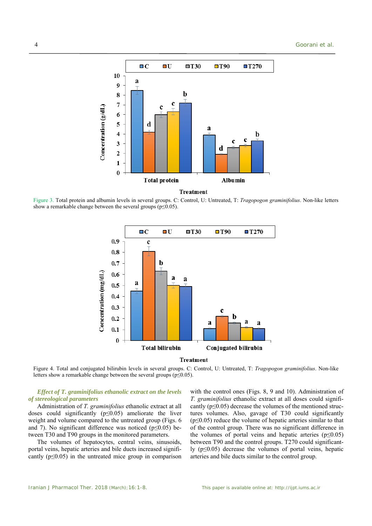

Figure 3. Total protein and albumin levels in several groups. C: Control, U: Untreated, T: *Tragopogon graminifolius*. Non-like letters show a remarkable change between the several groups ( $p \le 0.05$ ).



**Treatment** 

Figure 4. Total and conjugated bilirubin levels in several groups. C: Control, U: Untreated, T: *Tragopogon graminifolius*. Non-like letters show a remarkable change between the several groups ( $p \le 0.05$ ).

## *Effect of T. graminifolius ethanolic extract on the levels of stereological parameters*

Administration of *T. graminifolius* ethanolic extract at all doses could significantly (p≤0.05) ameliorate the liver weight and volume compared to the untreated group (Figs. 6 and 7). No significant difference was noticed (p*≤*0.05) between T30 and T90 groups in the monitored parameters.

The volumes of hepatocytes, central veins, sinusoids, portal veins, hepatic arteries and bile ducts increased significantly  $(p \le 0.05)$  in the untreated mice group in comparison with the control ones (Figs. 8, 9 and 10). Administration of *T. graminifolius* ethanolic extract at all doses could significantly ( $p \le 0.05$ ) decrease the volumes of the mentioned structures volumes. Also, gavage of T30 could significantly  $(p \le 0.05)$  reduce the volume of hepatic arteries similar to that of the control group. There was no significant difference in the volumes of portal veins and hepatic arteries ( $p \le 0.05$ ) between T90 and the control groups. T270 could significantly ( $p \leq 0.05$ ) decrease the volumes of portal veins, hepatic arteries and bile ducts similar to the control group.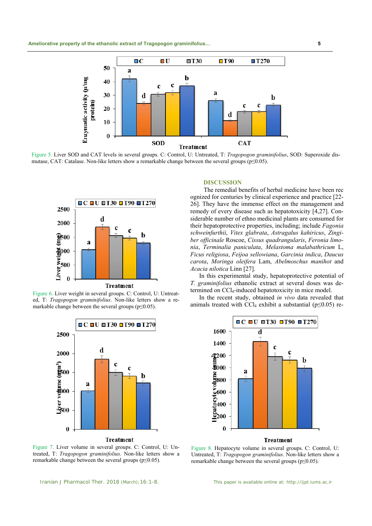

Figure 5. Liver SOD and CAT levels in several groups. C: Control, U: Untreated, T: *Tragopogon graminifolius*, SOD: Superoxide dismutase, CAT: Catalase. Non-like letters show a remarkable change between the several groups (p≤0.05).



Figure 6. Liver weight in several groups. C: Control, U: Untreated, T: *Tragopogon graminifolius*. Non-like letters show a remarkable change between the several groups ( $p \leq 0.05$ ).



Figure 7. Liver volume in several groups. C: Control, U: Untreated, T: *Tragopogon graminifolius*. Non-like letters show a remarkable change between the several groups ( $p \le 0.05$ ).

#### **DISCUSSION**

 The remedial benefits of herbal medicine have been rec ognized for centuries by clinical experience and practice [22- 26]. They have the immense effect on the management and remedy of every disease such as hepatotoxicity [4,27]. Considerable number of ethno medicinal plants are consumed for their hepatoprotective properties, including; include *Fagonia schweinfurthii*, *Vitex glabrata*, *Astragalus kahiricus*, *Zingiber officinale* Roscoe, *Cissus quadrangularis*, *Feronia limonia*, *Terminalia paniculata*, *Melastoma malabathricum* L, *Ficus religiosa*, *Feijoa sellowiana*, *Garcinia indica*, *Daucus carota*, *Moringa oleifera* Lam, *Abelmoschus manihot* and *Acacia nilotica* Linn [27].

In this experimental study, hepatoprotective potential of *T. graminifolius* ethanolic extract at several doses was determined on CCl4-induced hepatotoxicity in mice model.

In the recent study, obtained *in vivo* data revealed that animals treated with CCl<sub>4</sub> exhibit a substantial ( $p \le 0.05$ ) re-



# **Treatment**

Figure 8. Hepatocyte volume in several groups. C: Control, U: Untreated, T: *Tragopogon graminifolius*. Non-like letters show a remarkable change between the several groups ( $p \le 0.05$ ).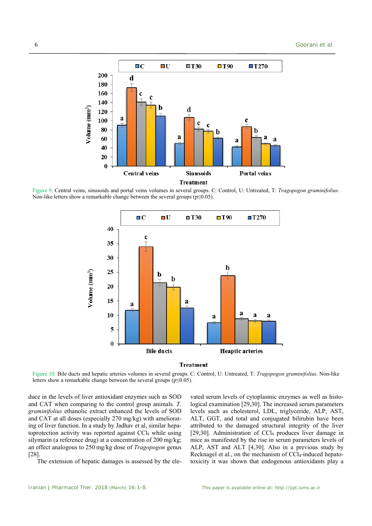

Figure 9. Central veins, sinusoids and portal veins volumes in several groups. C: Control, U: Untreated, T: *Tragopogon graminifolius*. Non-like letters show a remarkable change between the several groups ( $p \le 0.05$ ).





Figure 10. Bile ducts and hepatic arteries volumes in several groups. C: Control, U: Untreated, T: *Tragopogon graminifolius*. Non-like letters show a remarkable change between the several groups ( $p \le 0.05$ ).

duce in the levels of liver antioxidant enzymes such as SOD and CAT when comparing to the control group animals. *T. graminifolius* ethanolic extract enhanced the levels of SOD and CAT at all doses (especially 270 mg/kg) with ameliorating of liver function. In a study by Jadhav et al, similar hepatoprotection activity was reported against CCl<sub>4</sub> while using silymarin (a reference drug) at a concentration of 200 mg/kg; an effect analogous to 250 mg/kg dose of *Tragopogon* genus [28].

The extension of hepatic damages is assessed by the ele-

vated serum levels of cytoplasmic enzymes as well as histological examination [29,30]. The increased serum parameters levels such as cholesterol, LDL, triglyceride, ALP, AST, ALT, GGT, and total and conjugated bilirubin have been attributed to the damaged structural integrity of the liver [29,30]. Administration of CCl<sub>4</sub> produces liver damage in mice as manifested by the rise in serum parameters levels of ALP, AST and ALT [4,30]. Also in a previous study by Recknagel et al., on the mechanism of CCl4-induced hepatotoxicity it was shown that endogenous antioxidants play a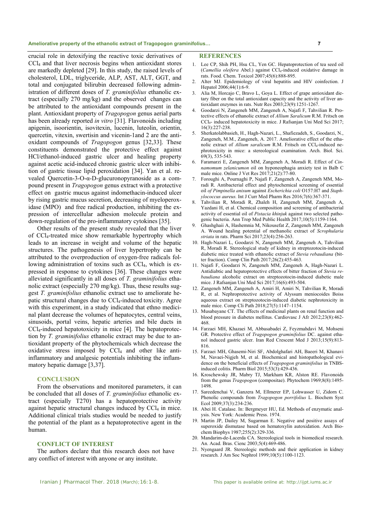#### **Ameliorative property of the ethanolic extract of Tragopogon graminifolius… 7**

crucial role in detoxifying the reactive toxic derivatives of CCl4 and that liver necrosis begins when antioxidant stores are markedly depleted [29]. In this study, the raised levels of cholesterol, LDL, triglyceride, ALP, AST, ALT, GGT, and total and conjugated bilirubin decreased following administration of different doses of *T. graminifolius* ethanolic extract (especially 270 mg/kg) and the observed changes can be attributed to the antioxidant compounds present in the plant. Antioxidant property of *Tragopogon* genus aerial parts has been already reported *in vitro* [31]. Flavonoids including apigenin, isoorientin, isovitexin, lucenin, luteolin, orientin, quercetin, vitexin, swertisin and vicenin-1and 2 are the antioxidant compounds of *Tragopogon* genus [32,33]. These constituents demonstrated the protective effect against HCl/ethanol-induced gastric ulcer and healing property against acetic acid-induced chronic gastric ulcer with inhibition of gastric tissue lipid peroxidation [34]. Yan et al. revealed Quercetin-3-O-α-D-glucuronopyranoside as a compound present in *Tragopogon* genus extract with a protective effect on gastric mucus against indomethacin-induced ulcer by rising gastric mucus secretion, decreasing of myeloperoxidase (MPO) and free radical production, inhibiting the expression of intercellular adhesion molecule protein and down-regulation of the pro-inflammatory cytokines [35].

Other results of the present study revealed that the liver of CCl4-treated mice show remarkable hypertrophy which leads to an increase in weight and volume of the hepatic structures. The pathogenesis of liver hypertrophy can be attributed to the overproduction of oxygen-free radicals following administration of toxins such as CCl<sub>4</sub>, which is expressed in response to cytokines [36]. These changes were alleviated significantly in all doses of *T. graminifolius* ethanolic extract (especially 270 mg/kg). Thus, these results suggest *T. graminifolius* ethanolic extract use to ameliorate hepatic structural changes due to CCl<sub>4</sub>-induced toxicity. Agree with this experiment, in a study indicated that ethno medicinal plant decrease the volumes of hepatocytes, central veins, sinusoids, portal veins, hepatic arteries and bile ducts in CCl4-induced hepatotoxicity in mice [4]. The hepatoprotection by *T. graminifolius* ethanolic extract may be due to antioxidant property of the phytochemicals which decrease the oxidative stress imposed by CCl4 and other like antiinflammatory and analgesic potentials inhibiting the inflammatory hepatic damage [3,37].

# **CONCLUSION**

From the observations and monitored parameters, it can be concluded that all doses of *T. graminifolius* ethanolic extract (especially T270) has a hepatoprotective activity against hepatic structural changes induced by  $CCl<sub>4</sub>$  in mice. Additional clinical trials studies would be needed to justify the potential of the plant as a hepatoprotective agent in the human.

# **CONFLICT OF INTEREST**

The authors declare that this research does not have any conflict of interest with anyone or any institute.

#### **REFERENCES**

- 1. Lee CP, Shih PH, Hsu CL, Yen GC. Hepatoprotection of tea seed oil (*Camellia oleifera* Abel.) against CCl4-induced oxidative damage in rats. Food. Chem. Toxicol 2007;45(6):888-895.
- 2. Alter MJ. Epidemiology of viral hepatitis and HIV coinfection. J Hepatol 2006;44(1):6-9.
- 3. Alia M, Horcajo C, Bravo L, Goya L. Effect of grape antioxidant dietary fiber on the total antioxidant capacity and the activity of liver antioxidant enzymes in rats. Nutr Res 2003;23(9):1251-1267.
- 4. Goodarzi N, Zangeneh MM, Zangeneh A, Najafi F, Tahvilian R. Protective effects of ethanolic extract of *Allium Saralicum* R.M. Fritsch on CCl4- induced hepatotoxicity in mice. J Rafsanjan Uni Med Sci 2017; 16(3):227-238.
- 5. Sherkatolabbasieh, H., Hagh-Nazari, L., Shafiezadeh, S., Goodarzi, N., Zangeneh, M.M., Zangeneh, A. 2017. Ameliorative effect of the ethanolic extract of *Allium saralicum* R.M. Fritsch on CCl<sub>4</sub>-induced nephrotoxicity in mice: a stereological examination. Arch. Biol. Sci. 69(3), 535-543.
- 6. Faramarzi E, Zangeneh MM, Zangeneh A, Moradi R. Effect of *Cinnamomum zelanicumon* oil on hyponeophagia anxiety test in Balb C male mice. Online J Vet Res 2017;21(2):77-80.
- 7. Foroughi A, Pournaghi P, Najafi F, Zangeneh A, Zangeneh MM, Moradi R. Antibacterial effect and phytochemical screening of essential oil *of Pimpinella anisum* against *Escherichia coli* O157:H7 and *Staphylococcus aureus.* Int J Curr Med Pharm Res 2016;7(6):367-371.
- 8. Tahvilian R, Moradi R, Zhaleh H, Zangeneh MM, Zangeneh A, Yazdani H, et al. Chemical composition and screening of antibacterial activity of essential oil of *Pistacia khinjuk* against two selected pathogenic bacteria. Ann Trop Med Public Health 2017;10(5):1159-1164.
- 9. Ghashghaii A, Hashemnia M, Nikousefat Z, Zangeneh MM, Zangeneh A. Wound healing potential of methanolic extract of *Scrophularia striata* in rats. Pharm Sci 2017;23(4):256-263.
- 10. Hagh-Nazari L, Goodarzi N, Zangeneh MM, Zangeneh A, Tahvilian R, Moradi R. Stereological study of kidney in streptozotocin-induced diabetic mice treated with ethanolic extract of *Stevia rebaudiana* (bitter fraction). Comp Clin Path 2017;26(2):455-463.
- 11. Najafi F, Goodarzi N, Zangeneh MM, Zangeneh A, Hagh-Nazari L. Antidiabtic and hepatoprotective effects of bitter fraction of *Stevia rebaudiana* alcoholic extract on streptozotocin-induced diabetic male mice. J Rafsanjan Uni Med Sci 2017;16(6):493-504.
- 12. Zangeneh MM, Zangeneh A, Amiri H, Amiri N, Tahvilian R, Moradi R, et al. Nephroprotective activity of Alyssum meniocoides Boiss aqueous extract on streptozotocin-induced diabetic nephrotoxicity in male mice. Comp Cli Path 2018;27(5):1147–1154.
- 13. Musabayane CT. The effects of medicinal plants on renal function and blood pressure in diabetes mellitus. Cardiovasc J Afr 2012;23(8):462- 468.
- 14. Farzaei MH, Khazaei M, Abbasabadei Z, Feyzmahdavi M, Mohseni GR. Protective effect of *Tragopogon graminifolius* DC. against ethanol induced gastric ulcer. Iran Red Crescent Med J 2013;15(9):813- 816.
- 15. Farzaei MH, Ghasemi-Niri SF, Abdolghafari AH, Baeeri M, Khanavi M, Navaei-Nigjeh M, et al. Biochemical and histopathological evidence on the beneficial effects of *Tragopogon graminifolius* in TNBSinduced colitis. Pharm Biol 2015;53(3):429-436.
- 16. Kroschewsky JR, Mabry TJ, Markham KR, Alston RE. Flavonoids from the genus *Tragopogon* (compositae). Phytochem 1969;8(8):1495- 1498.
- 17. Sareedenchai V, Ganzera M, Ellmerer EP, Lohwasser U, Zidorn C. Phenolic compounds from *Tragopogon porrifolius* L. Biochem Syst Ecol 2009;37(3):234-236.
- 18. Abei H. Catalase. In: Bergmeyer HU, Ed. Methods of enzymatic analysis. New York: Academic Press. 1974.
- 19. Martin JP, Dailey M, Sugarman E. Negative and positive assays of superoxide dismutase based on hematoxylin autoxidation. Arch Biochem Biophys 1987;255(2):329-336.
- 20. Mandarim-de-Lacerda CA. Stereological tools in biomedical research. An. Acad. Bras. Cienc 2003;5(4):469-486.
- 21. Nyengaard JR. Stereologic methods and their application in kidney research. J Am Soc Nephrol 1999;10(5):1100-1123.